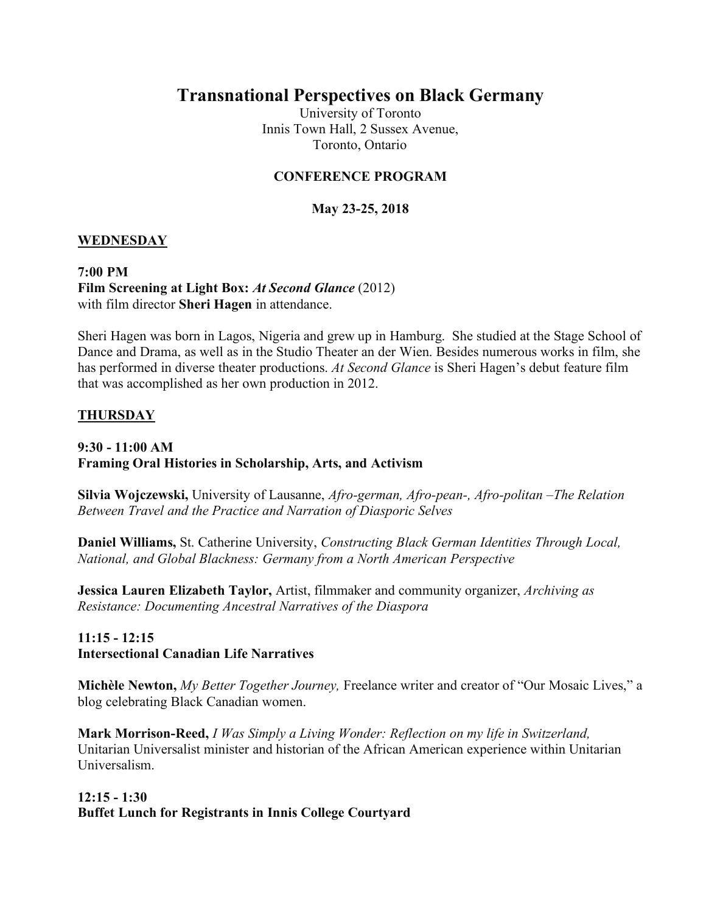# **Transnational Perspectives on Black Germany**

University of Toronto Innis Town Hall, 2 Sussex Avenue, Toronto, Ontario

# **CONFERENCE PROGRAM**

# **May 23-25, 2018**

#### **WEDNESDAY**

**7:00 PM Film Screening at Light Box:** *At Second Glance* (2012) with film director **Sheri Hagen** in attendance.

Sheri Hagen was born in Lagos, Nigeria and grew up in Hamburg. She studied at the Stage School of Dance and Drama, as well as in the Studio Theater an der Wien. Besides numerous works in film, she has performed in diverse theater productions. *At Second Glance* is Sheri Hagen's debut feature film that was accomplished as her own production in 2012.

#### **THURSDAY**

#### **9:30 - 11:00 AM Framing Oral Histories in Scholarship, Arts, and Activism**

**Silvia Wojczewski,** University of Lausanne, *Afro-german, Afro-pean-, Afro-politan –The Relation Between Travel and the Practice and Narration of Diasporic Selves*

**Daniel Williams,** St. Catherine University, *Constructing Black German Identities Through Local, National, and Global Blackness: Germany from a North American Perspective*

**Jessica Lauren Elizabeth Taylor,** Artist, filmmaker and community organizer, *Archiving as Resistance: Documenting Ancestral Narratives of the Diaspora*

# **11:15 - 12:15 Intersectional Canadian Life Narratives**

**Michèle Newton,** *My Better Together Journey,* Freelance writer and creator of "Our Mosaic Lives," a blog celebrating Black Canadian women.

**Mark Morrison-Reed,** *I Was Simply a Living Wonder: Reflection on my life in Switzerland,*  Unitarian Universalist minister and historian of the African American experience within Unitarian Universalism.

# **12:15 - 1:30 Buffet Lunch for Registrants in Innis College Courtyard**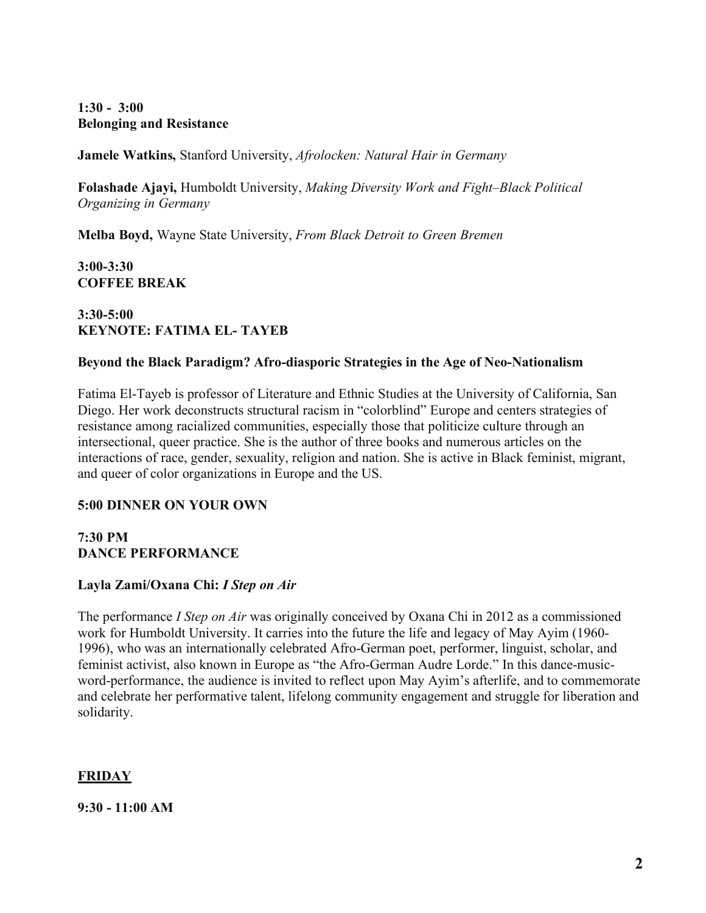# **1:30 - 3:00 Belonging and Resistance**

**Jamele Watkins,** Stanford University, *Afrolocken: Natural Hair in Germany* 

**Folashade Ajayi,** Humboldt University, *Making Diversity Work and Fight–Black Political Organizing in Germany*

**Melba Boyd,** Wayne State University, *From Black Detroit to Green Bremen*

**3:00-3:30 COFFEE BREAK**

# **3:30-5:00 KEYNOTE: FATIMA EL- TAYEB**

# **Beyond the Black Paradigm? Afro-diasporic Strategies in the Age of Neo-Nationalism**

Fatima El-Tayeb is professor of Literature and Ethnic Studies at the University of California, San Diego. Her work deconstructs structural racism in "colorblind" Europe and centers strategies of resistance among racialized communities, especially those that politicize culture through an intersectional, queer practice. She is the author of three books and numerous articles on the interactions of race, gender, sexuality, religion and nation. She is active in Black feminist, migrant, and queer of color organizations in Europe and the US.

# **5:00 DINNER ON YOUR OWN**

#### **7:30 PM DANCE PERFORMANCE**

# **Layla Zami/Oxana Chi:** *I Step on Air*

The performance *I Step on Air* was originally conceived by Oxana Chi in 2012 as a commissioned work for Humboldt University. It carries into the future the life and legacy of May Ayim (1960- 1996), who was an internationally celebrated Afro-German poet, performer, linguist, scholar, and feminist activist, also known in Europe as "the Afro-German Audre Lorde." In this dance-musicword-performance, the audience is invited to reflect upon May Ayim's afterlife, and to commemorate and celebrate her performative talent, lifelong community engagement and struggle for liberation and solidarity.

# **FRIDAY**

**9:30 - 11:00 AM**